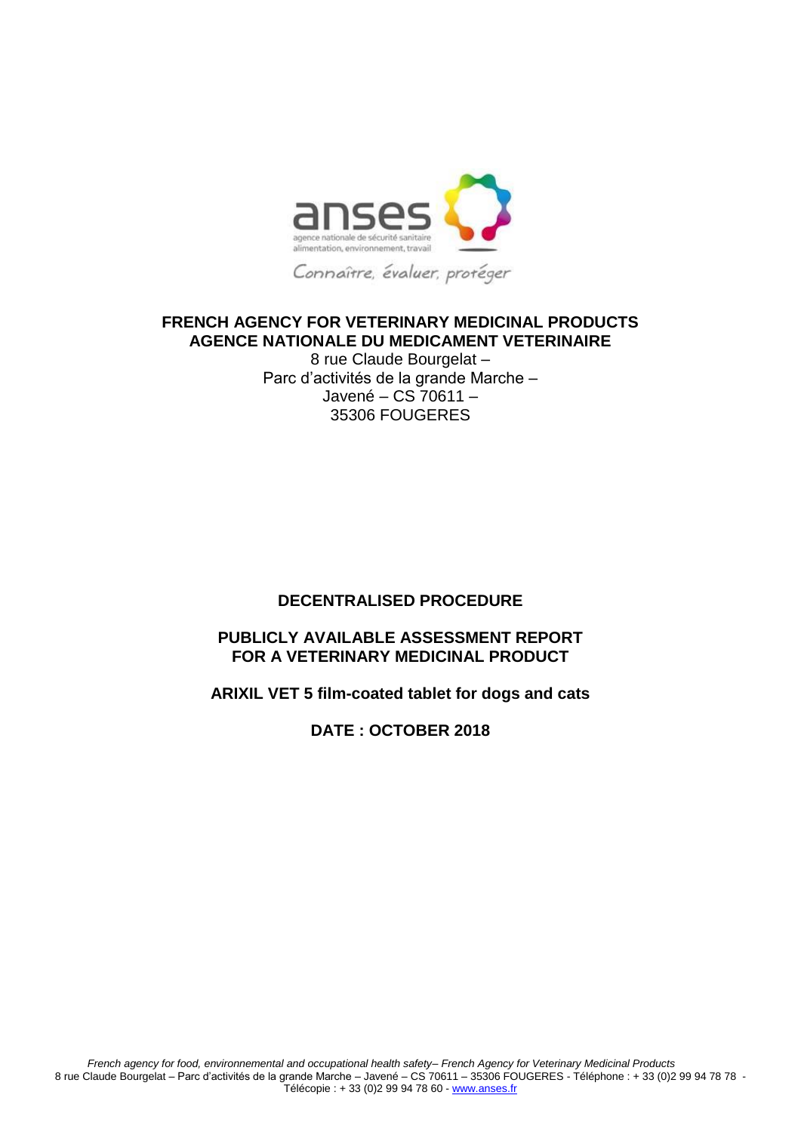

# **FRENCH AGENCY FOR VETERINARY MEDICINAL PRODUCTS AGENCE NATIONALE DU MEDICAMENT VETERINAIRE**

8 rue Claude Bourgelat – Parc d'activités de la grande Marche – Javené – CS 70611 – 35306 FOUGERES

## **DECENTRALISED PROCEDURE**

# **PUBLICLY AVAILABLE ASSESSMENT REPORT FOR A VETERINARY MEDICINAL PRODUCT**

## **ARIXIL VET 5 film-coated tablet for dogs and cats**

## **DATE : OCTOBER 2018**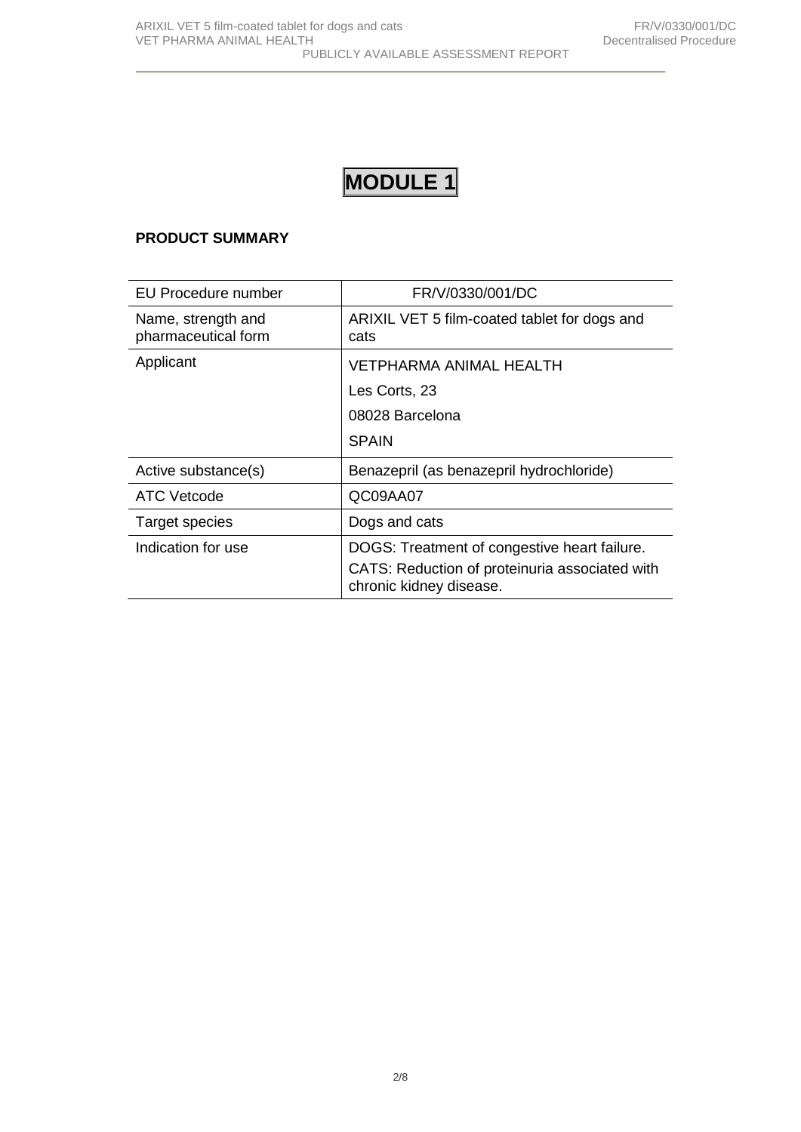# **MODULE 1**

## **PRODUCT SUMMARY**

| EU Procedure number                       | FR/V/0330/001/DC                                                                                                          |
|-------------------------------------------|---------------------------------------------------------------------------------------------------------------------------|
| Name, strength and<br>pharmaceutical form | ARIXIL VET 5 film-coated tablet for dogs and<br>cats                                                                      |
| Applicant                                 | <b>VETPHARMA ANIMAL HEALTH</b>                                                                                            |
|                                           | Les Corts, 23                                                                                                             |
|                                           | 08028 Barcelona                                                                                                           |
|                                           | <b>SPAIN</b>                                                                                                              |
| Active substance(s)                       | Benazepril (as benazepril hydrochloride)                                                                                  |
| ATC Vetcode                               | QC09AA07                                                                                                                  |
| Target species                            | Dogs and cats                                                                                                             |
| Indication for use                        | DOGS: Treatment of congestive heart failure.<br>CATS: Reduction of proteinuria associated with<br>chronic kidney disease. |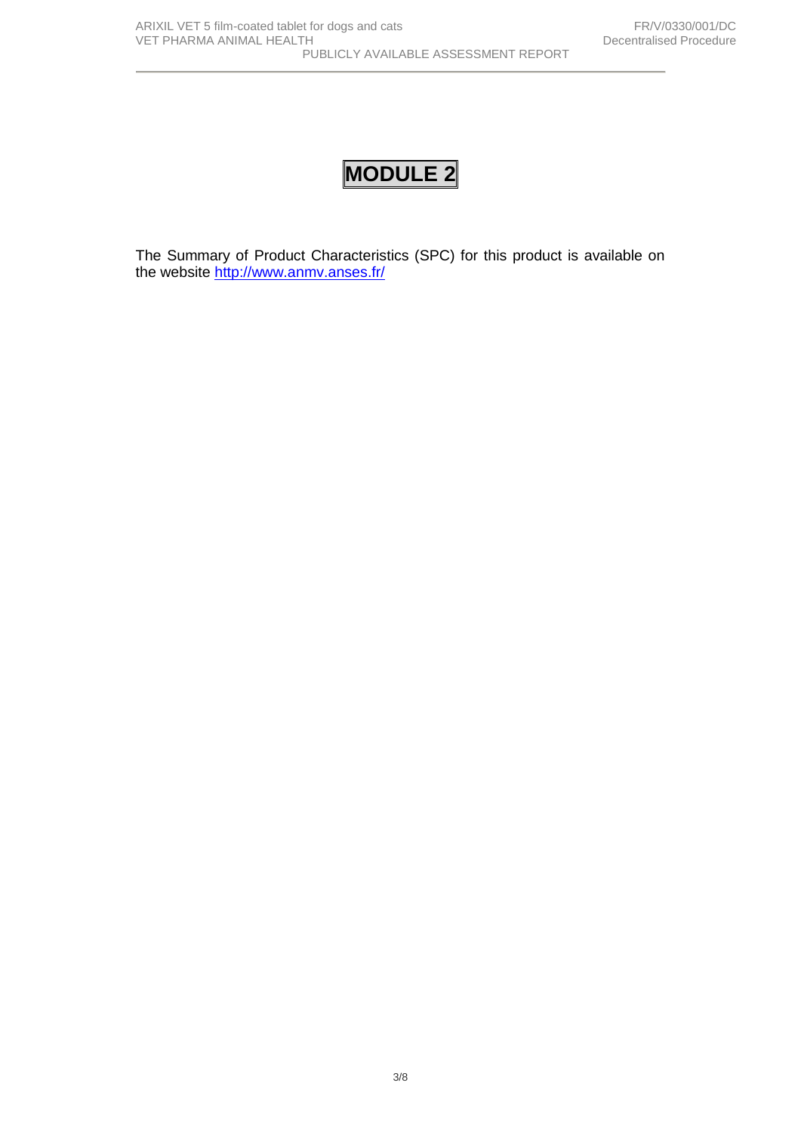# **MODULE 2**

The Summary of Product Characteristics (SPC) for this product is available on the website <http://www.anmv.anses.fr/>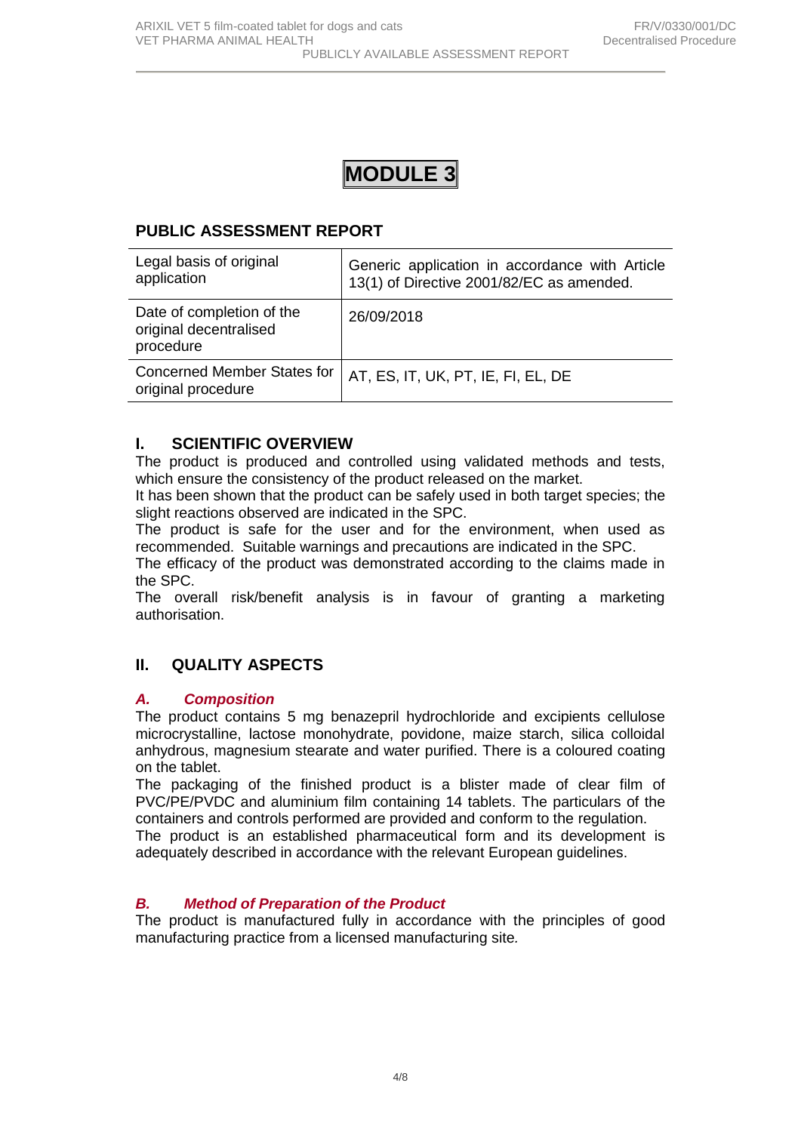

# **PUBLIC ASSESSMENT REPORT**

| Legal basis of original<br>application                           | Generic application in accordance with Article<br>13(1) of Directive 2001/82/EC as amended. |
|------------------------------------------------------------------|---------------------------------------------------------------------------------------------|
| Date of completion of the<br>original decentralised<br>procedure | 26/09/2018                                                                                  |
| <b>Concerned Member States for</b><br>original procedure         | AT, ES, IT, UK, PT, IE, FI, EL, DE                                                          |

# **I. SCIENTIFIC OVERVIEW**

The product is produced and controlled using validated methods and tests, which ensure the consistency of the product released on the market.

It has been shown that the product can be safely used in both target species; the slight reactions observed are indicated in the SPC.

The product is safe for the user and for the environment, when used as recommended. Suitable warnings and precautions are indicated in the SPC.

The efficacy of the product was demonstrated according to the claims made in the SPC.

The overall risk/benefit analysis is in favour of granting a marketing authorisation.

# **II. QUALITY ASPECTS**

## *A. Composition*

The product contains 5 mg benazepril hydrochloride and excipients cellulose microcrystalline, lactose monohydrate, povidone, maize starch, silica colloidal anhydrous, magnesium stearate and water purified. There is a coloured coating on the tablet.

The packaging of the finished product is a blister made of clear film of PVC/PE/PVDC and aluminium film containing 14 tablets. The particulars of the containers and controls performed are provided and conform to the regulation.

The product is an established pharmaceutical form and its development is adequately described in accordance with the relevant European guidelines.

## *B. Method of Preparation of the Product*

The product is manufactured fully in accordance with the principles of good manufacturing practice from a licensed manufacturing site*.*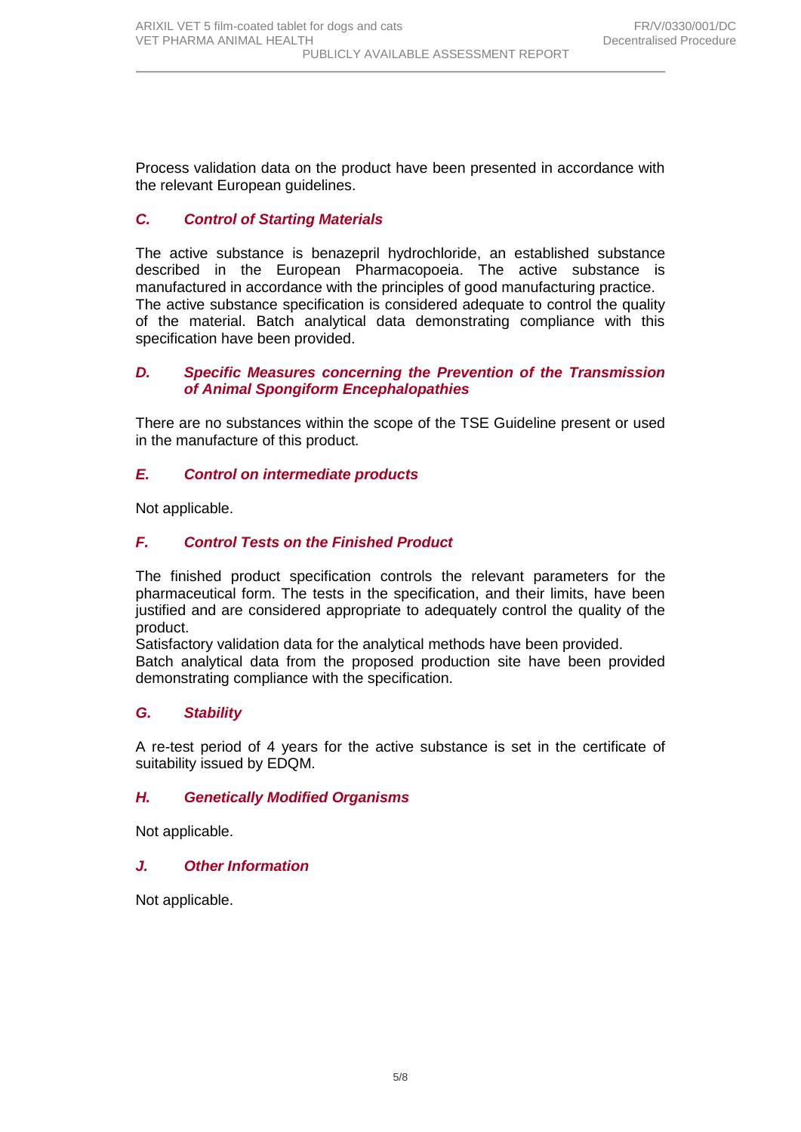Process validation data on the product have been presented in accordance with the relevant European guidelines.

# *C. Control of Starting Materials*

The active substance is benazepril hydrochloride, an established substance described in the European Pharmacopoeia. The active substance is manufactured in accordance with the principles of good manufacturing practice. The active substance specification is considered adequate to control the quality of the material. Batch analytical data demonstrating compliance with this specification have been provided.

#### *D. Specific Measures concerning the Prevention of the Transmission of Animal Spongiform Encephalopathies*

There are no substances within the scope of the TSE Guideline present or used in the manufacture of this product*.*

## *E. Control on intermediate products*

Not applicable.

## *F. Control Tests on the Finished Product*

The finished product specification controls the relevant parameters for the pharmaceutical form. The tests in the specification, and their limits, have been justified and are considered appropriate to adequately control the quality of the product.

Satisfactory validation data for the analytical methods have been provided.

Batch analytical data from the proposed production site have been provided demonstrating compliance with the specification.

## *G. Stability*

A re-test period of 4 years for the active substance is set in the certificate of suitability issued by EDQM.

#### *H. Genetically Modified Organisms*

Not applicable.

#### *J. Other Information*

Not applicable.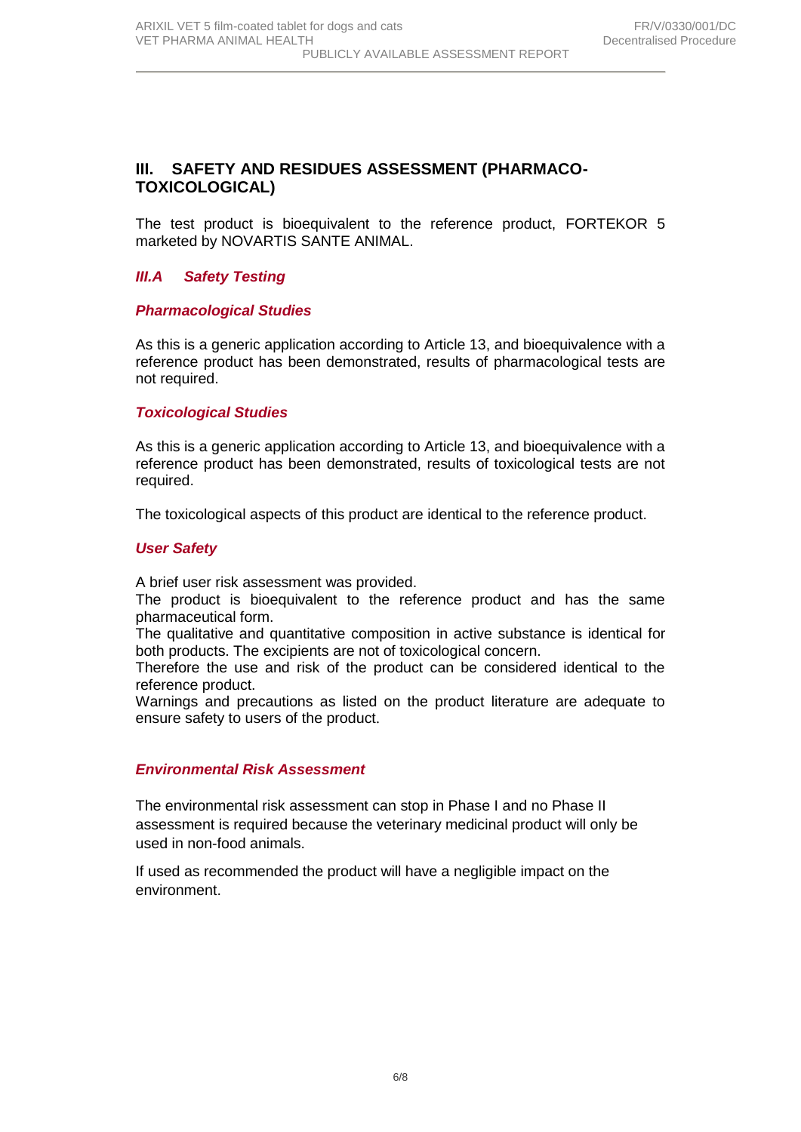# **III. SAFETY AND RESIDUES ASSESSMENT (PHARMACO-TOXICOLOGICAL)**

The test product is bioequivalent to the reference product, FORTEKOR 5 marketed by NOVARTIS SANTE ANIMAL.

## *III.A Safety Testing*

#### *Pharmacological Studies*

As this is a generic application according to Article 13, and bioequivalence with a reference product has been demonstrated, results of pharmacological tests are not required.

#### *Toxicological Studies*

As this is a generic application according to Article 13, and bioequivalence with a reference product has been demonstrated, results of toxicological tests are not required.

The toxicological aspects of this product are identical to the reference product.

#### *User Safety*

A brief user risk assessment was provided.

The product is bioequivalent to the reference product and has the same pharmaceutical form.

The qualitative and quantitative composition in active substance is identical for both products. The excipients are not of toxicological concern.

Therefore the use and risk of the product can be considered identical to the reference product.

Warnings and precautions as listed on the product literature are adequate to ensure safety to users of the product.

#### *Environmental Risk Assessment*

The environmental risk assessment can stop in Phase I and no Phase II assessment is required because the veterinary medicinal product will only be used in non-food animals.

If used as recommended the product will have a negligible impact on the environment.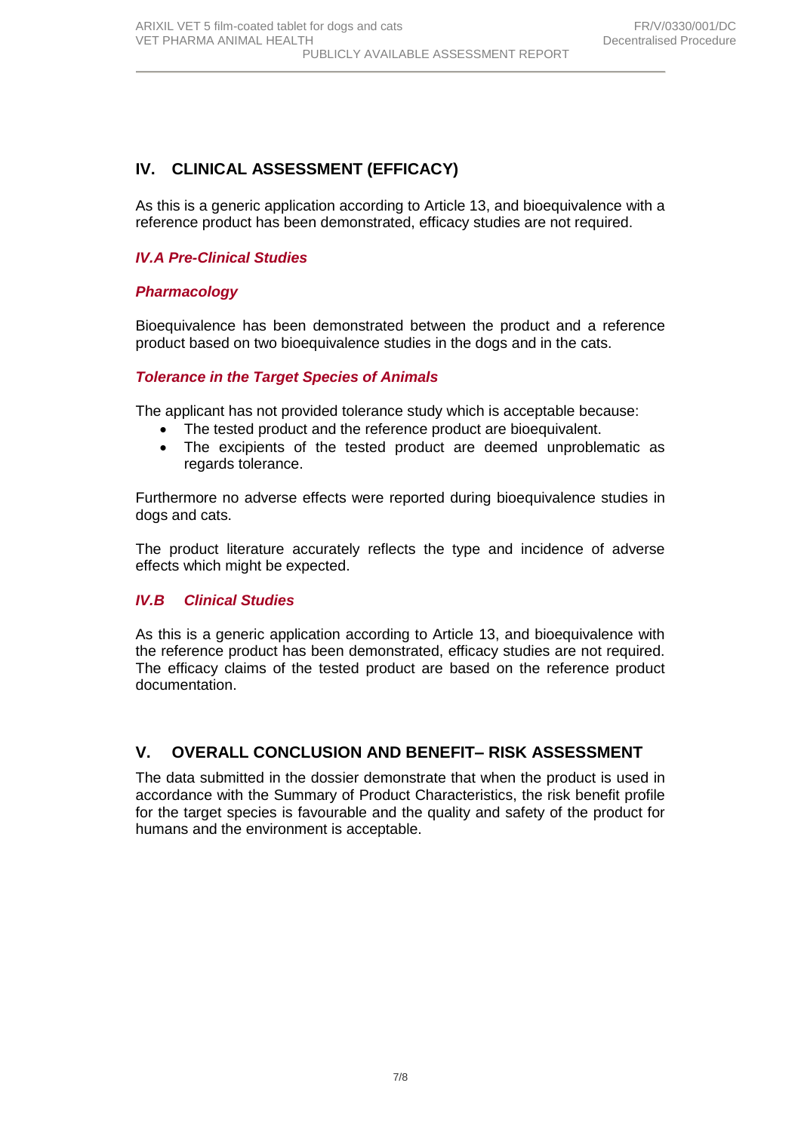# **IV. CLINICAL ASSESSMENT (EFFICACY)**

As this is a generic application according to Article 13, and bioequivalence with a reference product has been demonstrated, efficacy studies are not required.

### *IV.A Pre-Clinical Studies*

#### *Pharmacology*

Bioequivalence has been demonstrated between the product and a reference product based on two bioequivalence studies in the dogs and in the cats.

#### *Tolerance in the Target Species of Animals*

The applicant has not provided tolerance study which is acceptable because:

- The tested product and the reference product are bioequivalent.
- The excipients of the tested product are deemed unproblematic as regards tolerance.

Furthermore no adverse effects were reported during bioequivalence studies in dogs and cats.

The product literature accurately reflects the type and incidence of adverse effects which might be expected.

#### *IV.B Clinical Studies*

As this is a generic application according to Article 13, and bioequivalence with the reference product has been demonstrated, efficacy studies are not required. The efficacy claims of the tested product are based on the reference product documentation.

## **V. OVERALL CONCLUSION AND BENEFIT– RISK ASSESSMENT**

The data submitted in the dossier demonstrate that when the product is used in accordance with the Summary of Product Characteristics, the risk benefit profile for the target species is favourable and the quality and safety of the product for humans and the environment is acceptable.